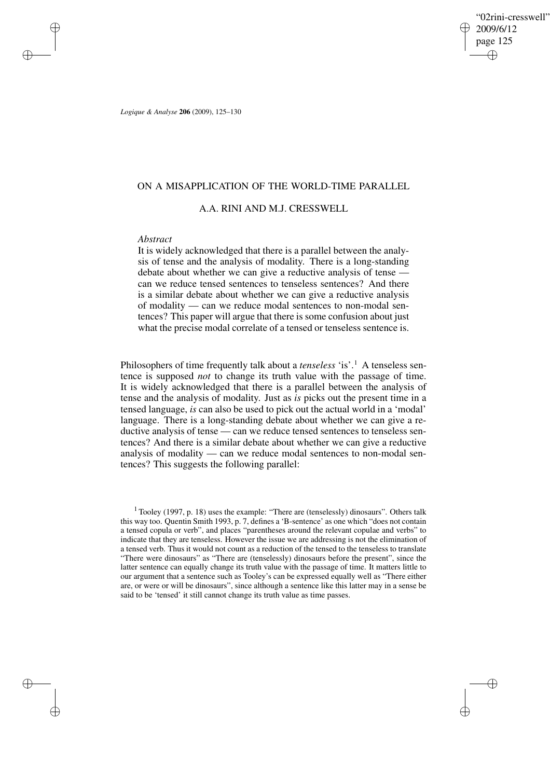"02rini-cresswell" 2009/6/12 page 125 ✐ ✐

✐

✐

*Logique & Analyse* **206** (2009), 125–130

## ON A MISAPPLICATION OF THE WORLD-TIME PARALLEL

A.A. RINI AND M.J. CRESSWELL

## *Abstract*

✐

✐

✐

✐

It is widely acknowledged that there is a parallel between the analysis of tense and the analysis of modality. There is a long-standing debate about whether we can give a reductive analysis of tense can we reduce tensed sentences to tenseless sentences? And there is a similar debate about whether we can give a reductive analysis of modality — can we reduce modal sentences to non-modal sentences? This paper will argue that there is some confusion about just what the precise modal correlate of a tensed or tenseless sentence is.

Philosophers of time frequently talk about a *tenseless* 'is'.<sup>1</sup> A tenseless sentence is supposed *not* to change its truth value with the passage of time. It is widely acknowledged that there is a parallel between the analysis of tense and the analysis of modality. Just as *is* picks out the present time in a tensed language, *is* can also be used to pick out the actual world in a 'modal' language. There is a long-standing debate about whether we can give a reductive analysis of tense — can we reduce tensed sentences to tenseless sentences? And there is a similar debate about whether we can give a reductive analysis of modality — can we reduce modal sentences to non-modal sentences? This suggests the following parallel:

 $1$  Tooley (1997, p. 18) uses the example: "There are (tenselessly) dinosaurs". Others talk this way too. Quentin Smith 1993, p. 7, defines a 'B-sentence' as one which "does not contain a tensed copula or verb", and places "parentheses around the relevant copulae and verbs" to indicate that they are tenseless. However the issue we are addressing is not the elimination of a tensed verb. Thus it would not count as a reduction of the tensed to the tenseless to translate "There were dinosaurs" as "There are (tenselessly) dinosaurs before the present", since the latter sentence can equally change its truth value with the passage of time. It matters little to our argument that a sentence such as Tooley's can be expressed equally well as "There either are, or were or will be dinosaurs", since although a sentence like this latter may in a sense be said to be 'tensed' it still cannot change its truth value as time passes.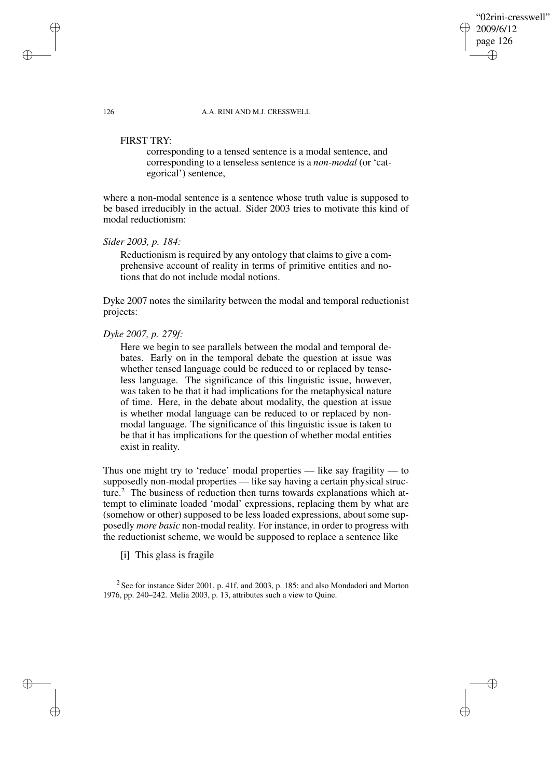"02rini-cresswell" 2009/6/12 page 126 ✐ ✐

✐

✐

126 A.A. RINI AND M.J. CRESSWELL

## FIRST TRY:

corresponding to a tensed sentence is a modal sentence, and corresponding to a tenseless sentence is a *non-modal* (or 'categorical') sentence,

where a non-modal sentence is a sentence whose truth value is supposed to be based irreducibly in the actual. Sider 2003 tries to motivate this kind of modal reductionism:

*Sider 2003, p. 184:*

Reductionism is required by any ontology that claims to give a comprehensive account of reality in terms of primitive entities and notions that do not include modal notions.

Dyke 2007 notes the similarity between the modal and temporal reductionist projects:

## *Dyke 2007, p. 279f:*

Here we begin to see parallels between the modal and temporal debates. Early on in the temporal debate the question at issue was whether tensed language could be reduced to or replaced by tenseless language. The significance of this linguistic issue, however, was taken to be that it had implications for the metaphysical nature of time. Here, in the debate about modality, the question at issue is whether modal language can be reduced to or replaced by nonmodal language. The significance of this linguistic issue is taken to be that it has implications for the question of whether modal entities exist in reality.

Thus one might try to 'reduce' modal properties — like say fragility — to supposedly non-modal properties — like say having a certain physical structure.<sup>2</sup> The business of reduction then turns towards explanations which attempt to eliminate loaded 'modal' expressions, replacing them by what are (somehow or other) supposed to be less loaded expressions, about some supposedly *more basic* non-modal reality. For instance, in order to progress with the reductionist scheme, we would be supposed to replace a sentence like

[i] This glass is fragile

 $2$  See for instance Sider 2001, p. 41f, and 2003, p. 185; and also Mondadori and Morton 1976, pp. 240–242. Melia 2003, p. 13, attributes such a view to Quine.

✐

✐

✐

✐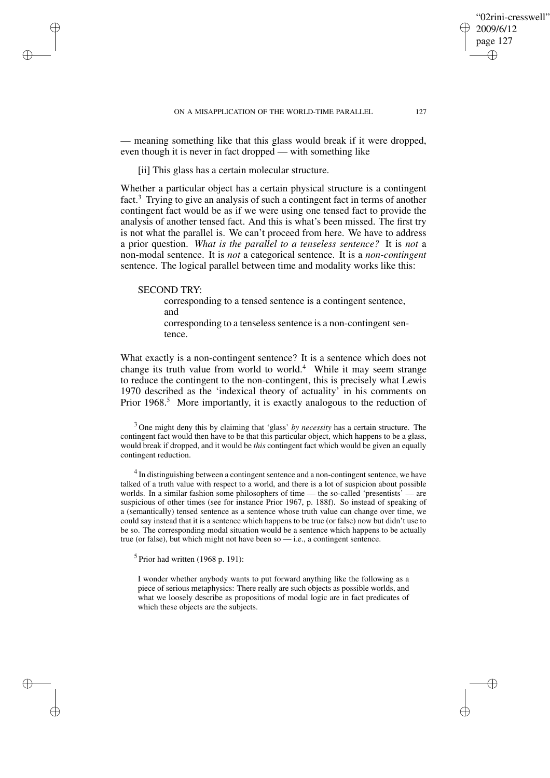✐

✐

— meaning something like that this glass would break if it were dropped, even though it is never in fact dropped — with something like

[ii] This glass has a certain molecular structure.

Whether a particular object has a certain physical structure is a contingent fact.<sup>3</sup> Trying to give an analysis of such a contingent fact in terms of another contingent fact would be as if we were using one tensed fact to provide the analysis of another tensed fact. And this is what's been missed. The first try is not what the parallel is. We can't proceed from here. We have to address a prior question. *What is the parallel to a tenseless sentence?* It is *not* a non-modal sentence. It is *not* a categorical sentence. It is a *non-contingent* sentence. The logical parallel between time and modality works like this:

### SECOND TRY:

✐

✐

✐

✐

corresponding to a tensed sentence is a contingent sentence, and corresponding to a tenseless sentence is a non-contingent sentence.

What exactly is a non-contingent sentence? It is a sentence which does not change its truth value from world to world.<sup>4</sup> While it may seem strange to reduce the contingent to the non-contingent, this is precisely what Lewis 1970 described as the 'indexical theory of actuality' in his comments on Prior 1968.<sup>5</sup> More importantly, it is exactly analogous to the reduction of

<sup>3</sup> One might deny this by claiming that 'glass' *by necessity* has a certain structure. The contingent fact would then have to be that this particular object, which happens to be a glass, would break if dropped, and it would be *this* contingent fact which would be given an equally contingent reduction.

 $4$  In distinguishing between a contingent sentence and a non-contingent sentence, we have talked of a truth value with respect to a world, and there is a lot of suspicion about possible worlds. In a similar fashion some philosophers of time — the so-called 'presentists' — are suspicious of other times (see for instance Prior 1967, p. 188f). So instead of speaking of a (semantically) tensed sentence as a sentence whose truth value can change over time, we could say instead that it is a sentence which happens to be true (or false) now but didn't use to be so. The corresponding modal situation would be a sentence which happens to be actually true (or false), but which might not have been so — i.e., a contingent sentence.

 $<sup>5</sup>$  Prior had written (1968 p. 191):</sup>

I wonder whether anybody wants to put forward anything like the following as a piece of serious metaphysics: There really are such objects as possible worlds, and what we loosely describe as propositions of modal logic are in fact predicates of which these objects are the subjects.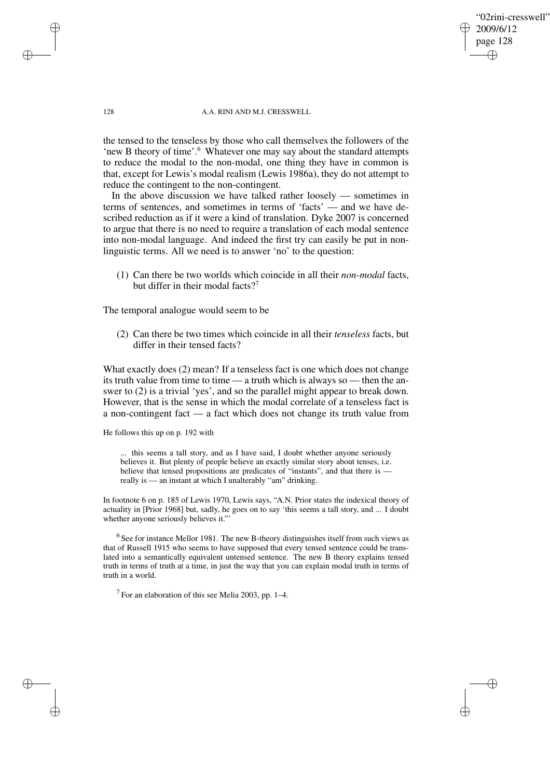"02rini-cresswell" 2009/6/12 page 128 ✐ ✐

✐

✐

#### 128 A.A. RINI AND M.J. CRESSWELL

the tensed to the tenseless by those who call themselves the followers of the 'new B theory of time'.<sup>6</sup> Whatever one may say about the standard attempts to reduce the modal to the non-modal, one thing they have in common is that, except for Lewis's modal realism (Lewis 1986a), they do not attempt to reduce the contingent to the non-contingent.

In the above discussion we have talked rather loosely — sometimes in terms of sentences, and sometimes in terms of 'facts' — and we have described reduction as if it were a kind of translation. Dyke 2007 is concerned to argue that there is no need to require a translation of each modal sentence into non-modal language. And indeed the first try can easily be put in nonlinguistic terms. All we need is to answer 'no' to the question:

(1) Can there be two worlds which coincide in all their *non-modal* facts, but differ in their modal facts?<sup>7</sup>

The temporal analogue would seem to be

(2) Can there be two times which coincide in all their *tenseless* facts, but differ in their tensed facts?

What exactly does (2) mean? If a tenseless fact is one which does not change its truth value from time to time — a truth which is always so — then the answer to (2) is a trivial 'yes', and so the parallel might appear to break down. However, that is the sense in which the modal correlate of a tenseless fact is a non-contingent fact — a fact which does not change its truth value from

He follows this up on p. 192 with

... this seems a tall story, and as I have said, I doubt whether anyone seriously believes it. But plenty of people believe an exactly similar story about tenses, i.e. believe that tensed propositions are predicates of "instants", and that there is really is — an instant at which I unalterably "am" drinking.

In footnote 6 on p. 185 of Lewis 1970, Lewis says, "A.N. Prior states the indexical theory of actuality in [Prior 1968] but, sadly, he goes on to say 'this seems a tall story, and ... I doubt whether anyone seriously believes it."'

 $<sup>6</sup>$  See for instance Mellor 1981. The new B-theory distinguishes itself from such views as</sup> that of Russell 1915 who seems to have supposed that every tensed sentence could be translated into a semantically equivalent untensed sentence. The new B theory explains tensed truth in terms of truth at a time, in just the way that you can explain modal truth in terms of truth in a world.

 $7$  For an elaboration of this see Melia 2003, pp. 1–4.

✐

✐

✐

✐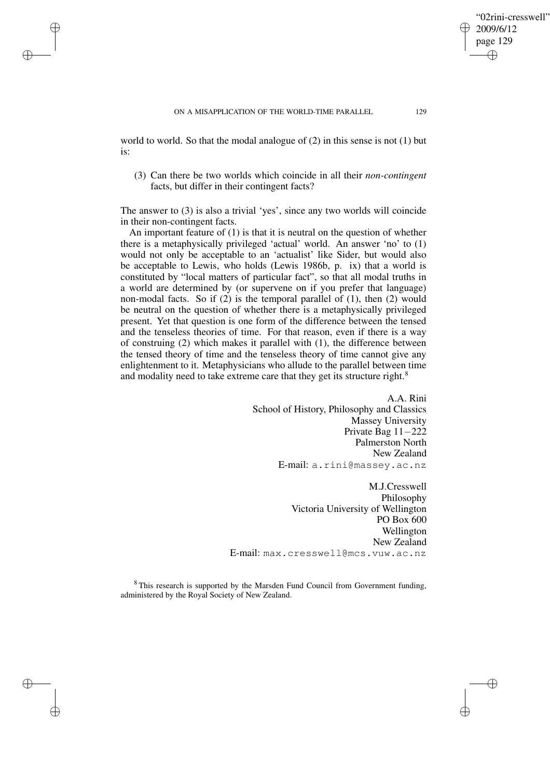✐

✐

✐

✐

world to world. So that the modal analogue of (2) in this sense is not (1) but is:

(3) Can there be two worlds which coincide in all their *non-contingent* facts, but differ in their contingent facts?

The answer to (3) is also a trivial 'yes', since any two worlds will coincide in their non-contingent facts.

An important feature of (1) is that it is neutral on the question of whether there is a metaphysically privileged 'actual' world. An answer 'no' to (1) would not only be acceptable to an 'actualist' like Sider, but would also be acceptable to Lewis, who holds (Lewis 1986b, p. ix) that a world is constituted by "local matters of particular fact", so that all modal truths in a world are determined by (or supervene on if you prefer that language) non-modal facts. So if (2) is the temporal parallel of (1), then (2) would be neutral on the question of whether there is a metaphysically privileged present. Yet that question is one form of the difference between the tensed and the tenseless theories of time. For that reason, even if there is a way of construing (2) which makes it parallel with (1), the difference between the tensed theory of time and the tenseless theory of time cannot give any enlightenment to it. Metaphysicians who allude to the parallel between time and modality need to take extreme care that they get its structure right.<sup>8</sup>

> A.A. Rini School of History, Philosophy and Classics Massey University Private Bag 11−222 Palmerston North New Zealand E-mail: a.rini@massey.ac.nz

M.J.Cresswell Philosophy Victoria University of Wellington PO Box 600 Wellington New Zealand E-mail: max.cresswell@mcs.vuw.ac.nz

<sup>8</sup> This research is supported by the Marsden Fund Council from Government funding, administered by the Royal Society of New Zealand.

"02rini-cresswell"

2009/6/12 page 129

✐

✐

✐

✐